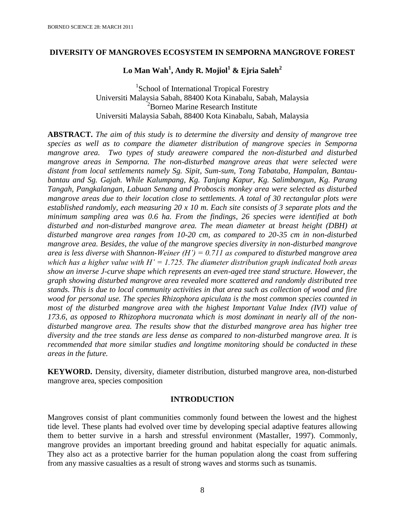### **DIVERSITY OF MANGROVES ECOSYSTEM IN SEMPORNA MANGROVE FOREST**

# **Lo Man Wah<sup>1</sup> , Andy R. Mojiol<sup>1</sup> & Ejria Saleh<sup>2</sup>**

<sup>1</sup>School of International Tropical Forestry Universiti Malaysia Sabah, 88400 Kota Kinabalu, Sabah, Malaysia <sup>2</sup>Borneo Marine Research Institute Universiti Malaysia Sabah, 88400 Kota Kinabalu, Sabah, Malaysia

**ABSTRACT.** *The aim of this study is to determine the diversity and density of mangrove tree species as well as to compare the diameter distribution of mangrove species in Semporna mangrove area. Two types of study areawere compared the non-disturbed and disturbed mangrove areas in Semporna. The non-disturbed mangrove areas that were selected were distant from local settlements namely Sg. Sipit, Sum-sum, Tong Tabataba, Hampalan, Bantaubantau and Sg. Gajah. While Kalumpang, Kg. Tanjung Kapur, Kg. Salimbangun, Kg. Parang Tangah, Pangkalangan, Labuan Senang and Proboscis monkey area were selected as disturbed mangrove areas due to their location close to settlements. A total of 30 rectangular plots were established randomly, each measuring 20 x 10 m. Each site consists of 3 separate plots and the minimum sampling area was 0.6 ha. From the findings, 26 species were identified at both disturbed and non-disturbed mangrove area. The mean diameter at breast height (DBH) at disturbed mangrove area ranges from 10-20 cm, as compared to 20-35 cm in non-disturbed mangrove area. Besides, the value of the mangrove species diversity in non-disturbed mangrove area is less diverse with Shannon-Weiner (H') = 0.711 as compared to disturbed mangrove area which has a higher value with H' = 1.725. The diameter distribution graph indicated both areas show an inverse J-curve shape which represents an even-aged tree stand structure. However, the graph showing disturbed mangrove area revealed more scattered and randomly distributed tree stands. This is due to local community activities in that area such as collection of wood and fire wood for personal use. The species Rhizophora apiculata is the most common species counted in most of the disturbed mangrove area with the highest Important Value Index (IVI) value of 173.6, as opposed to Rhizophora mucronata which is most dominant in nearly all of the nondisturbed mangrove area. The results show that the disturbed mangrove area has higher tree diversity and the tree stands are less dense as compared to non-disturbed mangrove area. It is recommended that more similar studies and longtime monitoring should be conducted in these areas in the future.*

**KEYWORD.** Density, diversity, diameter distribution, disturbed mangrove area, non-disturbed mangrove area, species composition

#### **INTRODUCTION**

Mangroves consist of plant communities commonly found between the lowest and the highest tide level. These plants had evolved over time by developing special adaptive features allowing them to better survive in a harsh and stressful environment (Mastaller, 1997). Commonly, mangrove provides an important breeding ground and habitat especially for aquatic animals. They also act as a protective barrier for the human population along the coast from suffering from any massive casualties as a result of strong waves and storms such as tsunamis.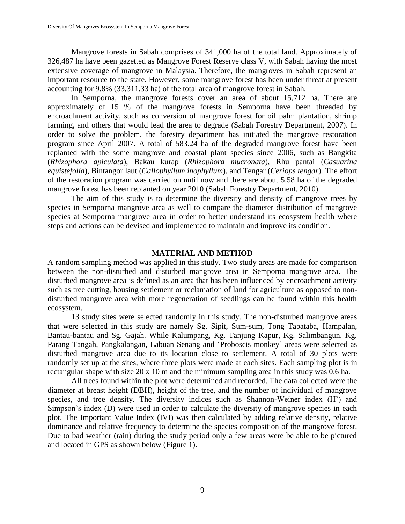Mangrove forests in Sabah comprises of 341,000 ha of the total land. Approximately of 326,487 ha have been gazetted as Mangrove Forest Reserve class V, with Sabah having the most extensive coverage of mangrove in Malaysia. Therefore, the mangroves in Sabah represent an important resource to the state. However, some mangrove forest has been under threat at present accounting for 9.8% (33,311.33 ha) of the total area of mangrove forest in Sabah.

In Semporna, the mangrove forests cover an area of about 15,712 ha. There are approximately of 15 % of the mangrove forests in Semporna have been threaded by encroachment activity, such as conversion of mangrove forest for oil palm plantation, shrimp farming, and others that would lead the area to degrade (Sabah Forestry Department, 2007). In order to solve the problem, the forestry department has initiated the mangrove restoration program since April 2007. A total of 583.24 ha of the degraded mangrove forest have been replanted with the some mangrove and coastal plant species since 2006, such as Bangkita (*Rhizophora apiculata*), Bakau kurap (*Rhizophora mucronata*), Rhu pantai (*Casuarina equistefolia*), Bintangor laut (*Callophyllum inophyllum*), and Tengar (*Ceriops tengar*). The effort of the restoration program was carried on until now and there are about 5.58 ha of the degraded mangrove forest has been replanted on year 2010 (Sabah Forestry Department, 2010).

The aim of this study is to determine the diversity and density of mangrove trees by species in Semporna mangrove area as well to compare the diameter distribution of mangrove species at Semporna mangrove area in order to better understand its ecosystem health where steps and actions can be devised and implemented to maintain and improve its condition.

#### **MATERIAL AND METHOD**

A random sampling method was applied in this study. Two study areas are made for comparison between the non-disturbed and disturbed mangrove area in Semporna mangrove area. The disturbed mangrove area is defined as an area that has been influenced by encroachment activity such as tree cutting, housing settlement or reclamation of land for agriculture as opposed to nondisturbed mangrove area with more regeneration of seedlings can be found within this health ecosystem.

13 study sites were selected randomly in this study. The non-disturbed mangrove areas that were selected in this study are namely Sg. Sipit, Sum-sum, Tong Tabataba, Hampalan, Bantau-bantau and Sg. Gajah. While Kalumpang, Kg. Tanjung Kapur, Kg. Salimbangun, Kg. Parang Tangah, Pangkalangan, Labuan Senang and 'Proboscis monkey' areas were selected as disturbed mangrove area due to its location close to settlement. A total of 30 plots were randomly set up at the sites, where three plots were made at each sites. Each sampling plot is in rectangular shape with size 20 x 10 m and the minimum sampling area in this study was 0.6 ha.

All trees found within the plot were determined and recorded. The data collected were the diameter at breast height (DBH), height of the tree, and the number of individual of mangrove species, and tree density. The diversity indices such as Shannon-Weiner index (H') and Simpson's index (D) were used in order to calculate the diversity of mangrove species in each plot. The Important Value Index (IVI) was then calculated by adding relative density, relative dominance and relative frequency to determine the species composition of the mangrove forest. Due to bad weather (rain) during the study period only a few areas were be able to be pictured and located in GPS as shown below (Figure 1).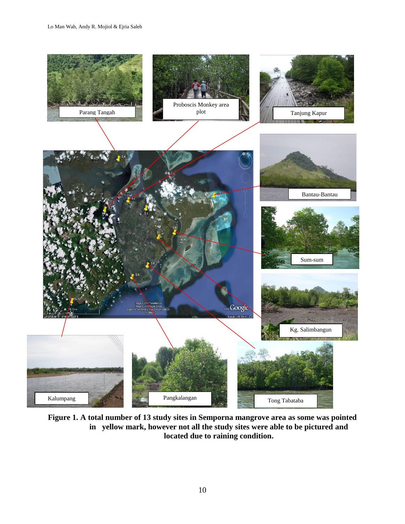

**Figure 1. A total number of 13 study sites in Semporna mangrove area as some was pointed in yellow mark, however not all the study sites were able to be pictured and located due to raining condition.**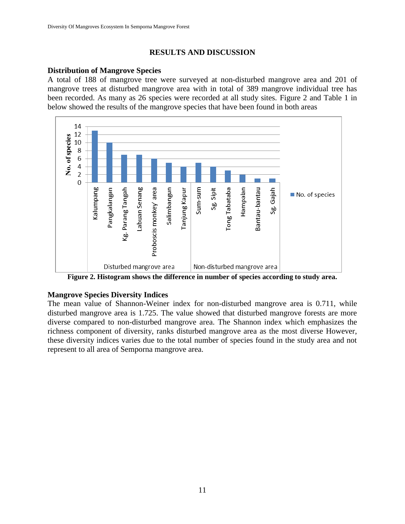# **RESULTS AND DISCUSSION**

### **Distribution of Mangrove Species**

A total of 188 of mangrove tree were surveyed at non-disturbed mangrove area and 201 of mangrove trees at disturbed mangrove area with in total of 389 mangrove individual tree has been recorded. As many as 26 species were recorded at all study sites. Figure 2 and Table 1 in below showed the results of the mangrove species that have been found in both areas



**Figure 2. Histogram shows the difference in number of species according to study area.**

# **Mangrove Species Diversity Indices**

The mean value of Shannon-Weiner index for non-disturbed mangrove area is 0.711, while disturbed mangrove area is 1.725. The value showed that disturbed mangrove forests are more diverse compared to non-disturbed mangrove area. The Shannon index which emphasizes the richness component of diversity, ranks disturbed mangrove area as the most diverse However, these diversity indices varies due to the total number of species found in the study area and not represent to all area of Semporna mangrove area.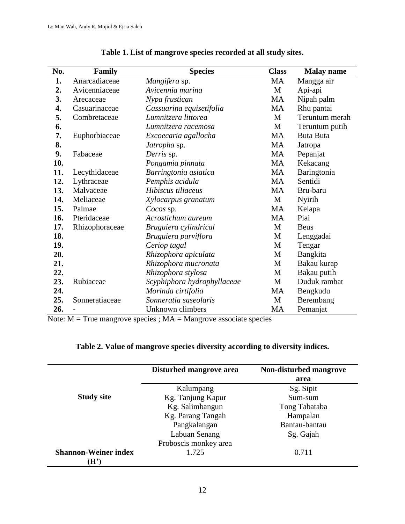| No. | Family         | <b>Species</b>              | <b>Class</b> | <b>Malay name</b> |  |
|-----|----------------|-----------------------------|--------------|-------------------|--|
| 1.  | Anarcadiaceae  | Mangifera sp.               | MA           | Mangga air        |  |
| 2.  | Avicenniaceae  | Avicennia marina            | M            | Api-api           |  |
| 3.  | Arecaceae      | Nypa frustican              | MA           | Nipah palm        |  |
| 4.  | Casuarinaceae  | Cassuarina equisetifolia    | MA           | Rhu pantai        |  |
| 5.  | Combretaceae   | Lumnitzera littorea         | M            | Teruntum merah    |  |
| 6.  |                | Lumnitzera racemosa         | M            | Teruntum putih    |  |
| 7.  | Euphorbiaceae  | Excoecaria agallocha        | MA           | <b>Buta Buta</b>  |  |
| 8.  |                | Jatropha sp.                | MA           | Jatropa           |  |
| 9.  | Fabaceae       | Derris sp.                  | MA           | Pepanjat          |  |
| 10. |                | Pongamia pinnata            | MA           | Kekacang          |  |
| 11. | Lecythidaceae  | Barringtonia asiatica       | <b>MA</b>    | Baringtonia       |  |
| 12. | Lythraceae     | Pemphis acidula             | MA           | Sentidi           |  |
| 13. | Malvaceae      | Hibiscus tiliaceus          | <b>MA</b>    | Bru-baru          |  |
| 14. | Meliaceae      | Xylocarpus granatum         | M            | Nyirih            |  |
| 15. | Palmae         | Cocos sp.                   | <b>MA</b>    | Kelapa            |  |
| 16. | Pteridaceae    | Acrostichum aureum          | MA           | Piai              |  |
| 17. | Rhizophoraceae | Bruguiera cylindrical       | M            | <b>Beus</b>       |  |
| 18. |                | Bruguiera parviflora        | М            | Lenggadai         |  |
| 19. |                | Ceriop tagal                | М            | Tengar            |  |
| 20. |                | Rhizophora apiculata        | M            | Bangkita          |  |
| 21. |                | Rhizophora mucronata        | M            | Bakau kurap       |  |
| 22. |                | Rhizophora stylosa          | М            | Bakau putih       |  |
| 23. | Rubiaceae      | Scyphiphora hydrophyllaceae | М            | Duduk rambat      |  |
| 24. |                | Morinda cirtifolia          | MA           | Bengkudu          |  |
| 25. | Sonneratiaceae | Sonneratia saseolaris       | M            | Berembang         |  |
| 26. |                | Unknown climbers            | <b>MA</b>    | Pemanjat          |  |

# **Table 1. List of mangrove species recorded at all study sites.**

Note:  $M = True$  mangrove species ;  $MA =$ Mangrove associate species

### **Table 2. Value of mangrove species diversity according to diversity indices.**

|                                   | Disturbed mangrove area | Non-disturbed mangrove<br>area |
|-----------------------------------|-------------------------|--------------------------------|
|                                   | Kalumpang               | Sg. Sipit                      |
| <b>Study site</b>                 | Kg. Tanjung Kapur       | Sum-sum                        |
|                                   | Kg. Salimbangun         | Tong Tabataba                  |
|                                   | Kg. Parang Tangah       | Hampalan                       |
|                                   | Pangkalangan            | Bantau-bantau                  |
|                                   | Labuan Senang           | Sg. Gajah                      |
|                                   | Proboscis monkey area   |                                |
| <b>Shannon-Weiner index</b><br>Ήľ | 1.725                   | 0.711                          |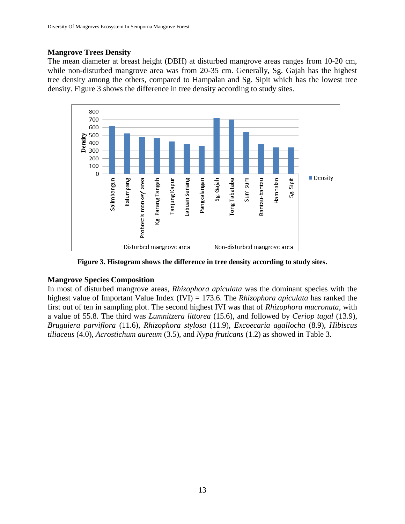### **Mangrove Trees Density**

The mean diameter at breast height (DBH) at disturbed mangrove areas ranges from 10-20 cm, while non-disturbed mangrove area was from 20-35 cm. Generally, Sg. Gajah has the highest tree density among the others, compared to Hampalan and Sg. Sipit which has the lowest tree density. Figure 3 shows the difference in tree density according to study sites.



**Figure 3. Histogram shows the difference in tree density according to study sites.**

### **Mangrove Species Composition**

In most of disturbed mangrove areas, *Rhizophora apiculata* was the dominant species with the highest value of Important Value Index (IVI) = 173.6. The *Rhizophora apiculata* has ranked the first out of ten in sampling plot. The second highest IVI was that of *Rhizophora mucronata*, with a value of 55.8. The third was *Lumnitzera littorea* (15.6), and followed by *Ceriop tagal* (13.9), *Bruguiera parviflora* (11.6), *Rhizophora stylosa* (11.9), *Excoecaria agallocha* (8.9), *Hibiscus tiliaceus* (4.0), *Acrostichum aureum* (3.5), and *Nypa fruticans* (1.2) as showed in Table 3.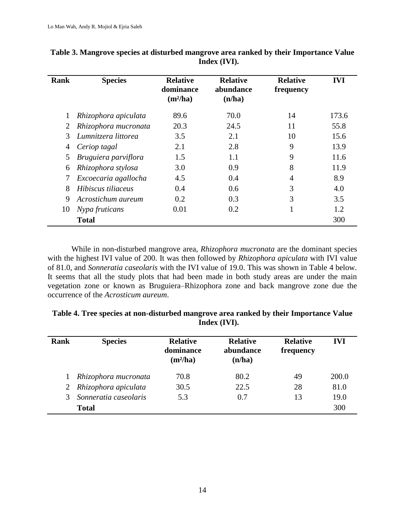| <b>Rank</b> | <b>Species</b>       | <b>Relative</b><br>dominance<br>$(m^2/ha)$ | <b>Relative</b><br>abundance<br>(n/ha) | <b>Relative</b><br>frequency | <b>IVI</b> |
|-------------|----------------------|--------------------------------------------|----------------------------------------|------------------------------|------------|
|             | Rhizophora apiculata | 89.6                                       | 70.0                                   | 14                           | 173.6      |
| 2           | Rhizophora mucronata | 20.3                                       | 24.5                                   | 11                           | 55.8       |
| 3           | Lumnitzera littorea  | 3.5                                        | 2.1                                    | 10                           | 15.6       |
| 4           | Ceriop tagal         | 2.1                                        | 2.8                                    | 9                            | 13.9       |
| 5           | Bruguiera parviflora | 1.5                                        | 1.1                                    | 9                            | 11.6       |
| 6           | Rhizophora stylosa   | 3.0                                        | 0.9                                    | 8                            | 11.9       |
|             | Excoecaria agallocha | 4.5                                        | 0.4                                    | 4                            | 8.9        |
| 8           | Hibiscus tiliaceus   | 0.4                                        | 0.6                                    | 3                            | 4.0        |
| 9           | Acrostichum aureum   | 0.2                                        | 0.3                                    | 3                            | 3.5        |
| 10          | Nypa fruticans       | 0.01                                       | 0.2                                    |                              | 1.2        |
|             | <b>Total</b>         |                                            |                                        |                              | 300        |

| Table 3. Mangrove species at disturbed mangrove area ranked by their Importance Value |
|---------------------------------------------------------------------------------------|
| Index (IVI).                                                                          |

While in non-disturbed mangrove area, *Rhizophora mucronata* are the dominant species with the highest IVI value of 200. It was then followed by *Rhizophora apiculata* with IVI value of 81.0, and *Sonneratia caseolaris* with the IVI value of 19.0. This was shown in Table 4 below. It seems that all the study plots that had been made in both study areas are under the main vegetation zone or known as Bruguiera–Rhizophora zone and back mangrove zone due the occurrence of the *Acrosticum aureum*.

| Table 4. Tree species at non-disturbed mangrove area ranked by their Importance Value |
|---------------------------------------------------------------------------------------|
| Index (IVI).                                                                          |

| Rank          | <b>Species</b>        | <b>Relative</b><br>dominance<br>$(m^2/ha)$ | <b>Relative</b><br>abundance<br>(n/ha) | <b>Relative</b><br>frequency | <b>IVI</b> |
|---------------|-----------------------|--------------------------------------------|----------------------------------------|------------------------------|------------|
|               | Rhizophora mucronata  | 70.8                                       | 80.2                                   | 49                           | 200.0      |
| 2             | Rhizophora apiculata  | 30.5                                       | 22.5                                   | 28                           | 81.0       |
| $\mathcal{R}$ | Sonneratia caseolaris | 5.3                                        | 0.7                                    | 13                           | 19.0       |
|               | <b>Total</b>          |                                            |                                        |                              | 300        |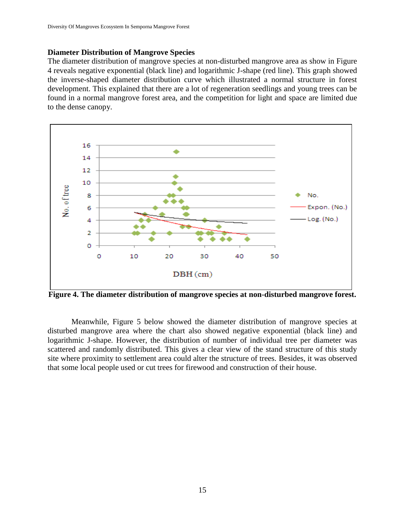#### **Diameter Distribution of Mangrove Species**

The diameter distribution of mangrove species at non-disturbed mangrove area as show in Figure 4 reveals negative exponential (black line) and logarithmic J-shape (red line). This graph showed the inverse-shaped diameter distribution curve which illustrated a normal structure in forest development. This explained that there are a lot of regeneration seedlings and young trees can be found in a normal mangrove forest area, and the competition for light and space are limited due to the dense canopy.



**Figure 4. The diameter distribution of mangrove species at non-disturbed mangrove forest.**

Meanwhile, Figure 5 below showed the diameter distribution of mangrove species at disturbed mangrove area where the chart also showed negative exponential (black line) and logarithmic J-shape. However, the distribution of number of individual tree per diameter was scattered and randomly distributed. This gives a clear view of the stand structure of this study site where proximity to settlement area could alter the structure of trees. Besides, it was observed that some local people used or cut trees for firewood and construction of their house.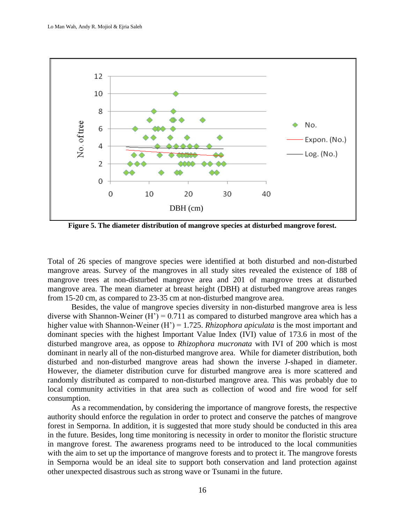

**Figure 5. The diameter distribution of mangrove species at disturbed mangrove forest.**

Total of 26 species of mangrove species were identified at both disturbed and non-disturbed mangrove areas. Survey of the mangroves in all study sites revealed the existence of 188 of mangrove trees at non-disturbed mangrove area and 201 of mangrove trees at disturbed mangrove area. The mean diameter at breast height (DBH) at disturbed mangrove areas ranges from 15-20 cm, as compared to 23-35 cm at non-disturbed mangrove area.

Besides, the value of mangrove species diversity in non-disturbed mangrove area is less diverse with Shannon-Weiner  $(H') = 0.711$  as compared to disturbed mangrove area which has a higher value with Shannon-Weiner (H') = 1.725. *Rhizophora apiculata* is the most important and dominant species with the highest Important Value Index (IVI) value of 173.6 in most of the disturbed mangrove area, as oppose to *Rhizophora mucronata* with IVI of 200 which is most dominant in nearly all of the non-disturbed mangrove area. While for diameter distribution, both disturbed and non-disturbed mangrove areas had shown the inverse J-shaped in diameter. However, the diameter distribution curve for disturbed mangrove area is more scattered and randomly distributed as compared to non-disturbed mangrove area. This was probably due to local community activities in that area such as collection of wood and fire wood for self consumption.

As a recommendation, by considering the importance of mangrove forests, the respective authority should enforce the regulation in order to protect and conserve the patches of mangrove forest in Semporna. In addition, it is suggested that more study should be conducted in this area in the future. Besides, long time monitoring is necessity in order to monitor the floristic structure in mangrove forest. The awareness programs need to be introduced to the local communities with the aim to set up the importance of mangrove forests and to protect it. The mangrove forests in Semporna would be an ideal site to support both conservation and land protection against other unexpected disastrous such as strong wave or Tsunami in the future.